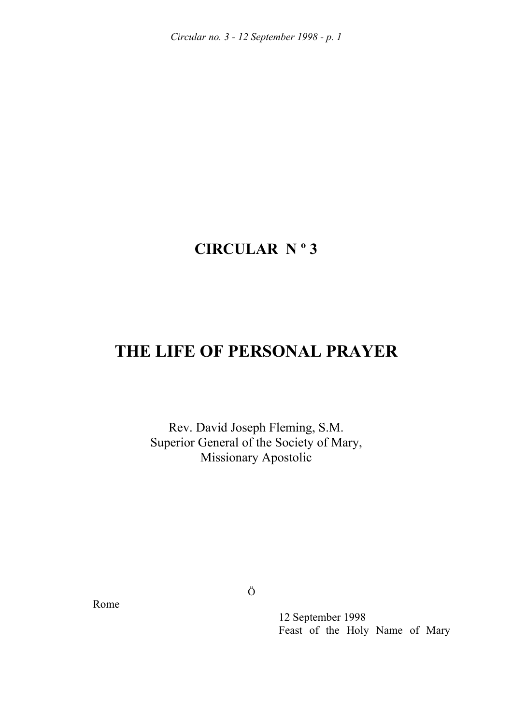*Circular no. 3 - 12 September 1998 - p. 1* 

## **CIRCULAR N º 3**

## **THE LIFE OF PERSONAL PRAYER**

Rev. David Joseph Fleming, S.M. Superior General of the Society of Mary, Missionary Apostolic

Rome

Ö

 12 September 1998 Feast of the Holy Name of Mary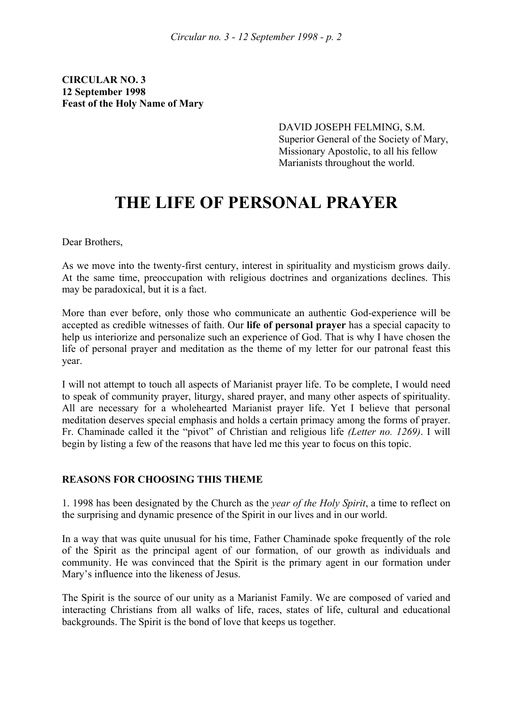**CIRCULAR NO. 3 12 September 1998 Feast of the Holy Name of Mary** 

> DAVID JOSEPH FELMING, S.M. Superior General of the Society of Mary, Missionary Apostolic, to all his fellow Marianists throughout the world.

# **THE LIFE OF PERSONAL PRAYER**

Dear Brothers,

As we move into the twenty-first century, interest in spirituality and mysticism grows daily. At the same time, preoccupation with religious doctrines and organizations declines. This may be paradoxical, but it is a fact.

More than ever before, only those who communicate an authentic God-experience will be accepted as credible witnesses of faith. Our **life of personal prayer** has a special capacity to help us interiorize and personalize such an experience of God. That is why I have chosen the life of personal prayer and meditation as the theme of my letter for our patronal feast this year.

I will not attempt to touch all aspects of Marianist prayer life. To be complete, I would need to speak of community prayer, liturgy, shared prayer, and many other aspects of spirituality. All are necessary for a wholehearted Marianist prayer life. Yet I believe that personal meditation deserves special emphasis and holds a certain primacy among the forms of prayer. Fr. Chaminade called it the "pivot" of Christian and religious life *(Letter no. 1269)*. I will begin by listing a few of the reasons that have led me this year to focus on this topic.

#### **REASONS FOR CHOOSING THIS THEME**

1. 1998 has been designated by the Church as the *year of the Holy Spirit*, a time to reflect on the surprising and dynamic presence of the Spirit in our lives and in our world.

In a way that was quite unusual for his time, Father Chaminade spoke frequently of the role of the Spirit as the principal agent of our formation, of our growth as individuals and community. He was convinced that the Spirit is the primary agent in our formation under Mary's influence into the likeness of Jesus.

The Spirit is the source of our unity as a Marianist Family. We are composed of varied and interacting Christians from all walks of life, races, states of life, cultural and educational backgrounds. The Spirit is the bond of love that keeps us together.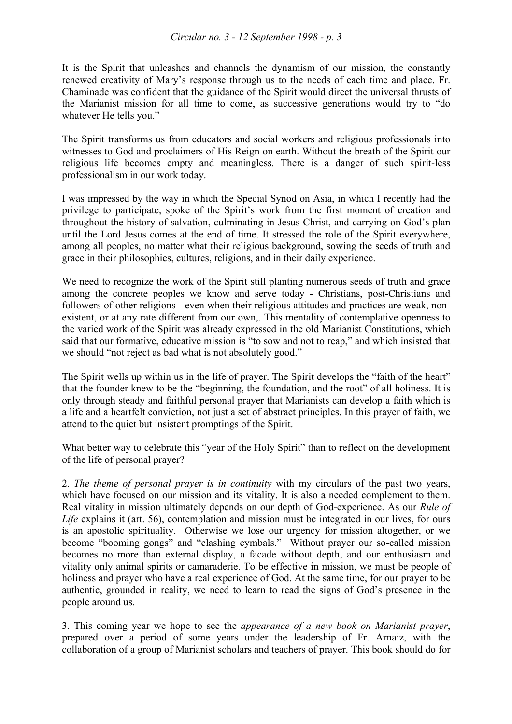#### *Circular no. 3 - 12 September 1998 - p. 3*

It is the Spirit that unleashes and channels the dynamism of our mission, the constantly renewed creativity of Mary's response through us to the needs of each time and place. Fr. Chaminade was confident that the guidance of the Spirit would direct the universal thrusts of the Marianist mission for all time to come, as successive generations would try to "do whatever He tells you."

The Spirit transforms us from educators and social workers and religious professionals into witnesses to God and proclaimers of His Reign on earth. Without the breath of the Spirit our religious life becomes empty and meaningless. There is a danger of such spirit-less professionalism in our work today.

I was impressed by the way in which the Special Synod on Asia, in which I recently had the privilege to participate, spoke of the Spirit's work from the first moment of creation and throughout the history of salvation, culminating in Jesus Christ, and carrying on God's plan until the Lord Jesus comes at the end of time. It stressed the role of the Spirit everywhere, among all peoples, no matter what their religious background, sowing the seeds of truth and grace in their philosophies, cultures, religions, and in their daily experience.

We need to recognize the work of the Spirit still planting numerous seeds of truth and grace among the concrete peoples we know and serve today - Christians, post-Christians and followers of other religions - even when their religious attitudes and practices are weak, nonexistent, or at any rate different from our own,. This mentality of contemplative openness to the varied work of the Spirit was already expressed in the old Marianist Constitutions, which said that our formative, educative mission is "to sow and not to reap," and which insisted that we should "not reject as bad what is not absolutely good."

The Spirit wells up within us in the life of prayer. The Spirit develops the "faith of the heart" that the founder knew to be the "beginning, the foundation, and the root" of all holiness. It is only through steady and faithful personal prayer that Marianists can develop a faith which is a life and a heartfelt conviction, not just a set of abstract principles. In this prayer of faith, we attend to the quiet but insistent promptings of the Spirit.

What better way to celebrate this "year of the Holy Spirit" than to reflect on the development of the life of personal prayer?

2. *The theme of personal prayer is in continuity* with my circulars of the past two years, which have focused on our mission and its vitality. It is also a needed complement to them. Real vitality in mission ultimately depends on our depth of God-experience. As our *Rule of Life* explains it (art. 56), contemplation and mission must be integrated in our lives, for ours is an apostolic spirituality. Otherwise we lose our urgency for mission altogether, or we become "booming gongs" and "clashing cymbals." Without prayer our so-called mission becomes no more than external display, a facade without depth, and our enthusiasm and vitality only animal spirits or camaraderie. To be effective in mission, we must be people of holiness and prayer who have a real experience of God. At the same time, for our prayer to be authentic, grounded in reality, we need to learn to read the signs of God's presence in the people around us.

3. This coming year we hope to see the *appearance of a new book on Marianist prayer*, prepared over a period of some years under the leadership of Fr. Arnaiz, with the collaboration of a group of Marianist scholars and teachers of prayer. This book should do for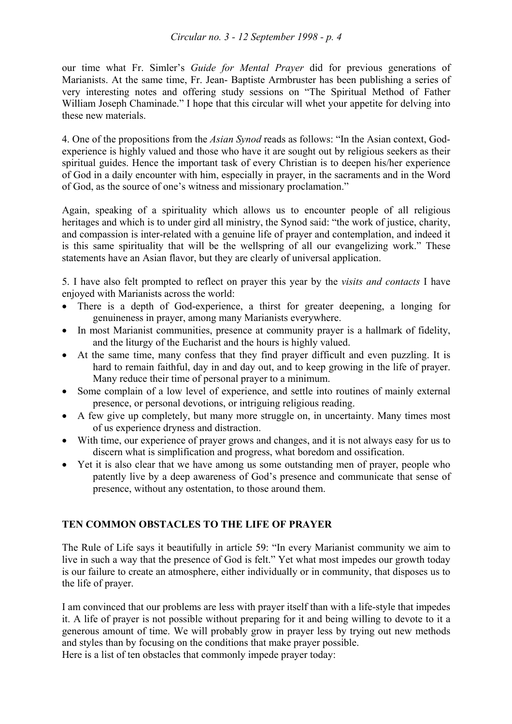#### *Circular no. 3 - 12 September 1998 - p. 4*

our time what Fr. Simler's *Guide for Mental Prayer* did for previous generations of Marianists. At the same time, Fr. Jean- Baptiste Armbruster has been publishing a series of very interesting notes and offering study sessions on "The Spiritual Method of Father William Joseph Chaminade." I hope that this circular will whet your appetite for delving into these new materials.

4. One of the propositions from the *Asian Synod* reads as follows: "In the Asian context, Godexperience is highly valued and those who have it are sought out by religious seekers as their spiritual guides. Hence the important task of every Christian is to deepen his/her experience of God in a daily encounter with him, especially in prayer, in the sacraments and in the Word of God, as the source of one's witness and missionary proclamation."

Again, speaking of a spirituality which allows us to encounter people of all religious heritages and which is to under gird all ministry, the Synod said: "the work of justice, charity, and compassion is inter-related with a genuine life of prayer and contemplation, and indeed it is this same spirituality that will be the wellspring of all our evangelizing work." These statements have an Asian flavor, but they are clearly of universal application.

5. I have also felt prompted to reflect on prayer this year by the *visits and contacts* I have enjoyed with Marianists across the world:

- There is a depth of God-experience, a thirst for greater deepening, a longing for genuineness in prayer, among many Marianists everywhere.
- In most Marianist communities, presence at community prayer is a hallmark of fidelity, and the liturgy of the Eucharist and the hours is highly valued.
- At the same time, many confess that they find prayer difficult and even puzzling. It is hard to remain faithful, day in and day out, and to keep growing in the life of prayer. Many reduce their time of personal prayer to a minimum.
- Some complain of a low level of experience, and settle into routines of mainly external presence, or personal devotions, or intriguing religious reading.
- A few give up completely, but many more struggle on, in uncertainty. Many times most of us experience dryness and distraction.
- With time, our experience of prayer grows and changes, and it is not always easy for us to discern what is simplification and progress, what boredom and ossification.
- Yet it is also clear that we have among us some outstanding men of prayer, people who patently live by a deep awareness of God's presence and communicate that sense of presence, without any ostentation, to those around them.

### **TEN COMMON OBSTACLES TO THE LIFE OF PRAYER**

The Rule of Life says it beautifully in article 59: "In every Marianist community we aim to live in such a way that the presence of God is felt." Yet what most impedes our growth today is our failure to create an atmosphere, either individually or in community, that disposes us to the life of prayer.

I am convinced that our problems are less with prayer itself than with a life-style that impedes it. A life of prayer is not possible without preparing for it and being willing to devote to it a generous amount of time. We will probably grow in prayer less by trying out new methods and styles than by focusing on the conditions that make prayer possible. Here is a list of ten obstacles that commonly impede prayer today: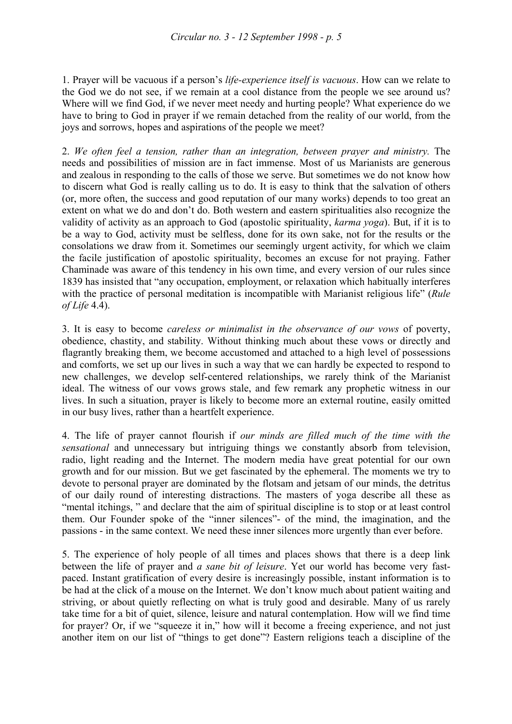1. Prayer will be vacuous if a person's *life-experience itself is vacuous*. How can we relate to the God we do not see, if we remain at a cool distance from the people we see around us? Where will we find God, if we never meet needy and hurting people? What experience do we have to bring to God in prayer if we remain detached from the reality of our world, from the joys and sorrows, hopes and aspirations of the people we meet?

2. *We often feel a tension, rather than an integration, between prayer and ministry.* The needs and possibilities of mission are in fact immense. Most of us Marianists are generous and zealous in responding to the calls of those we serve. But sometimes we do not know how to discern what God is really calling us to do. It is easy to think that the salvation of others (or, more often, the success and good reputation of our many works) depends to too great an extent on what we do and don't do. Both western and eastern spiritualities also recognize the validity of activity as an approach to God (apostolic spirituality, *karma yoga*). But, if it is to be a way to God, activity must be selfless, done for its own sake, not for the results or the consolations we draw from it. Sometimes our seemingly urgent activity, for which we claim the facile justification of apostolic spirituality, becomes an excuse for not praying. Father Chaminade was aware of this tendency in his own time, and every version of our rules since 1839 has insisted that "any occupation, employment, or relaxation which habitually interferes with the practice of personal meditation is incompatible with Marianist religious life" (*Rule of Life* 4.4).

3. It is easy to become *careless or minimalist in the observance of our vows* of poverty, obedience, chastity, and stability. Without thinking much about these vows or directly and flagrantly breaking them, we become accustomed and attached to a high level of possessions and comforts, we set up our lives in such a way that we can hardly be expected to respond to new challenges, we develop self-centered relationships, we rarely think of the Marianist ideal. The witness of our vows grows stale, and few remark any prophetic witness in our lives. In such a situation, prayer is likely to become more an external routine, easily omitted in our busy lives, rather than a heartfelt experience.

4. The life of prayer cannot flourish if *our minds are filled much of the time with the sensational* and unnecessary but intriguing things we constantly absorb from television, radio, light reading and the Internet. The modern media have great potential for our own growth and for our mission. But we get fascinated by the ephemeral. The moments we try to devote to personal prayer are dominated by the flotsam and jetsam of our minds, the detritus of our daily round of interesting distractions. The masters of yoga describe all these as "mental itchings, " and declare that the aim of spiritual discipline is to stop or at least control them. Our Founder spoke of the "inner silences"- of the mind, the imagination, and the passions - in the same context. We need these inner silences more urgently than ever before.

5. The experience of holy people of all times and places shows that there is a deep link between the life of prayer and *a sane bit of leisure*. Yet our world has become very fastpaced. Instant gratification of every desire is increasingly possible, instant information is to be had at the click of a mouse on the Internet. We don't know much about patient waiting and striving, or about quietly reflecting on what is truly good and desirable. Many of us rarely take time for a bit of quiet, silence, leisure and natural contemplation. How will we find time for prayer? Or, if we "squeeze it in," how will it become a freeing experience, and not just another item on our list of "things to get done"? Eastern religions teach a discipline of the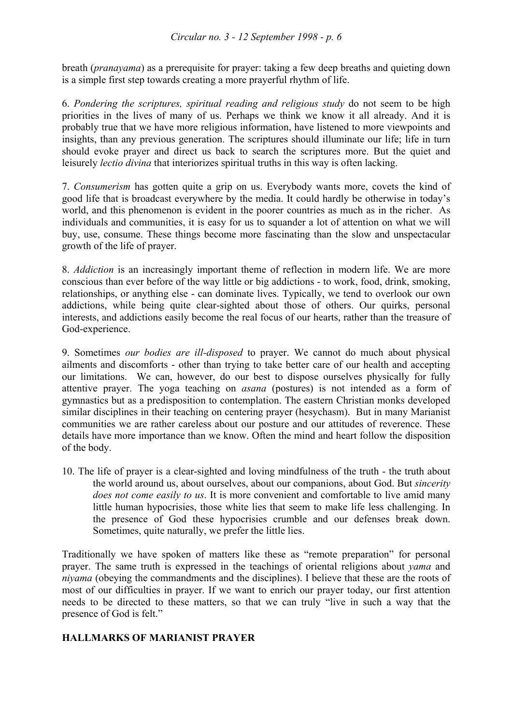breath (*pranayama*) as a prerequisite for prayer: taking a few deep breaths and quieting down is a simple first step towards creating a more prayerful rhythm of life.

6. *Pondering the scriptures, spiritual reading and religious study* do not seem to be high priorities in the lives of many of us. Perhaps we think we know it all already. And it is probably true that we have more religious information, have listened to more viewpoints and insights, than any previous generation. The scriptures should illuminate our life; life in turn should evoke prayer and direct us back to search the scriptures more. But the quiet and leisurely *lectio divina* that interiorizes spiritual truths in this way is often lacking.

7. *Consumerism* has gotten quite a grip on us. Everybody wants more, covets the kind of good life that is broadcast everywhere by the media. It could hardly be otherwise in today's world, and this phenomenon is evident in the poorer countries as much as in the richer. As individuals and communities, it is easy for us to squander a lot of attention on what we will buy, use, consume. These things become more fascinating than the slow and unspectacular growth of the life of prayer.

8. *Addiction* is an increasingly important theme of reflection in modern life. We are more conscious than ever before of the way little or big addictions - to work, food, drink, smoking, relationships, or anything else - can dominate lives. Typically, we tend to overlook our own addictions, while being quite clear-sighted about those of others. Our quirks, personal interests, and addictions easily become the real focus of our hearts, rather than the treasure of God-experience.

9. Sometimes *our bodies are ill-disposed* to prayer. We cannot do much about physical ailments and discomforts - other than trying to take better care of our health and accepting our limitations. We can, however, do our best to dispose ourselves physically for fully attentive prayer. The yoga teaching on *asana* (postures) is not intended as a form of gymnastics but as a predisposition to contemplation. The eastern Christian monks developed similar disciplines in their teaching on centering prayer (hesychasm). But in many Marianist communities we are rather careless about our posture and our attitudes of reverence. These details have more importance than we know. Often the mind and heart follow the disposition of the body.

10. The life of prayer is a clear-sighted and loving mindfulness of the truth - the truth about the world around us, about ourselves, about our companions, about God. But *sincerity does not come easily to us*. It is more convenient and comfortable to live amid many little human hypocrisies, those white lies that seem to make life less challenging. In the presence of God these hypocrisies crumble and our defenses break down. Sometimes, quite naturally, we prefer the little lies.

Traditionally we have spoken of matters like these as "remote preparation" for personal prayer. The same truth is expressed in the teachings of oriental religions about *yama* and *niyama* (obeying the commandments and the disciplines). I believe that these are the roots of most of our difficulties in prayer. If we want to enrich our prayer today, our first attention needs to be directed to these matters, so that we can truly "live in such a way that the presence of God is felt."

## **HALLMARKS OF MARIANIST PRAYER**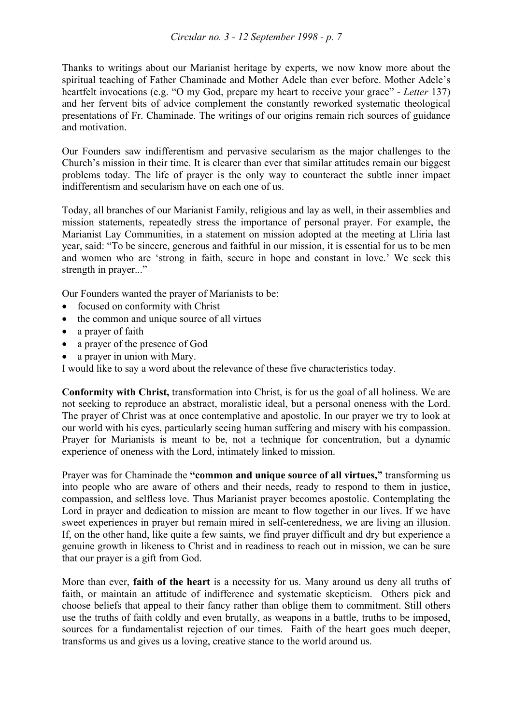Thanks to writings about our Marianist heritage by experts, we now know more about the spiritual teaching of Father Chaminade and Mother Adele than ever before. Mother Adele's heartfelt invocations (e.g. "O my God, prepare my heart to receive your grace" - *Letter* 137) and her fervent bits of advice complement the constantly reworked systematic theological presentations of Fr. Chaminade. The writings of our origins remain rich sources of guidance and motivation.

Our Founders saw indifferentism and pervasive secularism as the major challenges to the Church's mission in their time. It is clearer than ever that similar attitudes remain our biggest problems today. The life of prayer is the only way to counteract the subtle inner impact indifferentism and secularism have on each one of us.

Today, all branches of our Marianist Family, religious and lay as well, in their assemblies and mission statements, repeatedly stress the importance of personal prayer. For example, the Marianist Lay Communities, in a statement on mission adopted at the meeting at Lliria last year, said: "To be sincere, generous and faithful in our mission, it is essential for us to be men and women who are 'strong in faith, secure in hope and constant in love.' We seek this strength in prayer..."

Our Founders wanted the prayer of Marianists to be:

- focused on conformity with Christ
- the common and unique source of all virtues
- a prayer of faith
- a prayer of the presence of God
- a prayer in union with Mary.

I would like to say a word about the relevance of these five characteristics today.

**Conformity with Christ,** transformation into Christ, is for us the goal of all holiness. We are not seeking to reproduce an abstract, moralistic ideal, but a personal oneness with the Lord. The prayer of Christ was at once contemplative and apostolic. In our prayer we try to look at our world with his eyes, particularly seeing human suffering and misery with his compassion. Prayer for Marianists is meant to be, not a technique for concentration, but a dynamic experience of oneness with the Lord, intimately linked to mission.

Prayer was for Chaminade the **"common and unique source of all virtues,"** transforming us into people who are aware of others and their needs, ready to respond to them in justice, compassion, and selfless love. Thus Marianist prayer becomes apostolic. Contemplating the Lord in prayer and dedication to mission are meant to flow together in our lives. If we have sweet experiences in prayer but remain mired in self-centeredness, we are living an illusion. If, on the other hand, like quite a few saints, we find prayer difficult and dry but experience a genuine growth in likeness to Christ and in readiness to reach out in mission, we can be sure that our prayer is a gift from God.

More than ever, **faith of the heart** is a necessity for us. Many around us deny all truths of faith, or maintain an attitude of indifference and systematic skepticism. Others pick and choose beliefs that appeal to their fancy rather than oblige them to commitment. Still others use the truths of faith coldly and even brutally, as weapons in a battle, truths to be imposed, sources for a fundamentalist rejection of our times. Faith of the heart goes much deeper, transforms us and gives us a loving, creative stance to the world around us.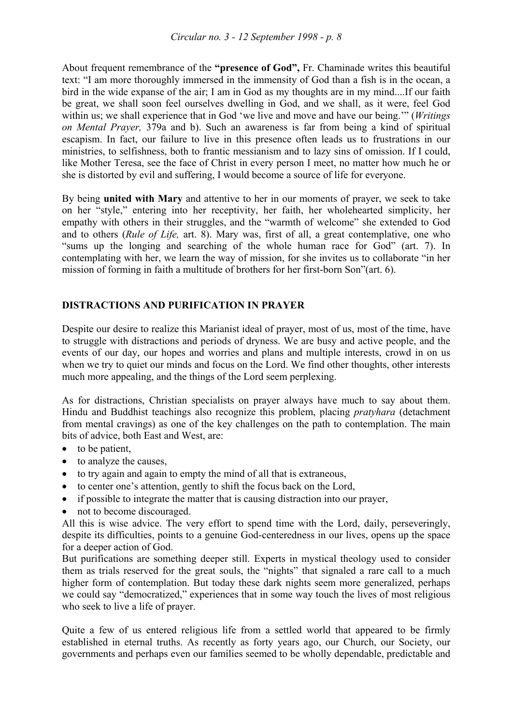About frequent remembrance of the **"presence of God",** Fr. Chaminade writes this beautiful text: "I am more thoroughly immersed in the immensity of God than a fish is in the ocean, a bird in the wide expanse of the air; I am in God as my thoughts are in my mind....If our faith be great, we shall soon feel ourselves dwelling in God, and we shall, as it were, feel God within us; we shall experience that in God 'we live and move and have our being.'" (*Writings on Mental Prayer,* 379a and b). Such an awareness is far from being a kind of spiritual escapism. In fact, our failure to live in this presence often leads us to frustrations in our ministries, to selfishness, both to frantic messianism and to lazy sins of omission. If I could, like Mother Teresa, see the face of Christ in every person I meet, no matter how much he or she is distorted by evil and suffering, I would become a source of life for everyone.

By being **united with Mary** and attentive to her in our moments of prayer, we seek to take on her "style," entering into her receptivity, her faith, her wholehearted simplicity, her empathy with others in their struggles, and the "warmth of welcome" she extended to God and to others (*Rule of Life,* art. 8). Mary was, first of all, a great contemplative, one who "sums up the longing and searching of the whole human race for God" (art. 7). In contemplating with her, we learn the way of mission, for she invites us to collaborate "in her mission of forming in faith a multitude of brothers for her first-born Son"(art. 6).

## **DISTRACTIONS AND PURIFICATION IN PRAYER**

Despite our desire to realize this Marianist ideal of prayer, most of us, most of the time, have to struggle with distractions and periods of dryness. We are busy and active people, and the events of our day, our hopes and worries and plans and multiple interests, crowd in on us when we try to quiet our minds and focus on the Lord. We find other thoughts, other interests much more appealing, and the things of the Lord seem perplexing.

As for distractions, Christian specialists on prayer always have much to say about them. Hindu and Buddhist teachings also recognize this problem, placing *pratyhara* (detachment from mental cravings) as one of the key challenges on the path to contemplation. The main bits of advice, both East and West, are:

- to be patient,
- to analyze the causes,
- to try again and again to empty the mind of all that is extraneous,
- to center one's attention, gently to shift the focus back on the Lord,
- if possible to integrate the matter that is causing distraction into our prayer,
- not to become discouraged.

All this is wise advice. The very effort to spend time with the Lord, daily, perseveringly, despite its difficulties, points to a genuine God-centeredness in our lives, opens up the space for a deeper action of God.

But purifications are something deeper still. Experts in mystical theology used to consider them as trials reserved for the great souls, the "nights" that signaled a rare call to a much higher form of contemplation. But today these dark nights seem more generalized, perhaps we could say "democratized," experiences that in some way touch the lives of most religious who seek to live a life of prayer.

Quite a few of us entered religious life from a settled world that appeared to be firmly established in eternal truths. As recently as forty years ago, our Church, our Society, our governments and perhaps even our families seemed to be wholly dependable, predictable and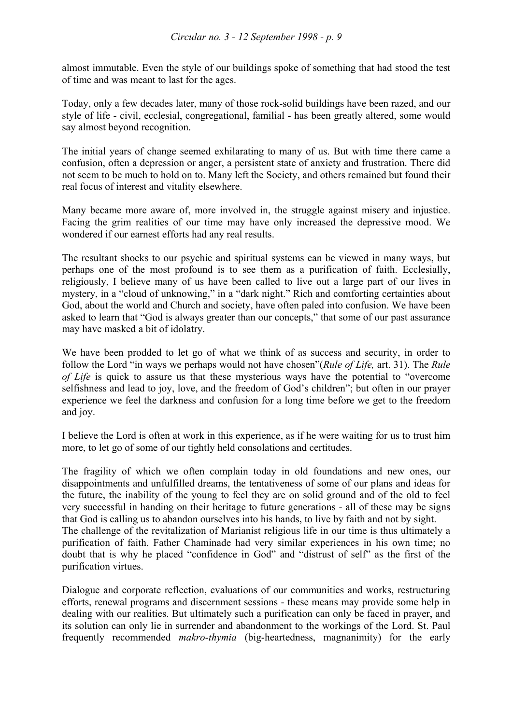almost immutable. Even the style of our buildings spoke of something that had stood the test of time and was meant to last for the ages.

Today, only a few decades later, many of those rock-solid buildings have been razed, and our style of life - civil, ecclesial, congregational, familial - has been greatly altered, some would say almost beyond recognition.

The initial years of change seemed exhilarating to many of us. But with time there came a confusion, often a depression or anger, a persistent state of anxiety and frustration. There did not seem to be much to hold on to. Many left the Society, and others remained but found their real focus of interest and vitality elsewhere.

Many became more aware of, more involved in, the struggle against misery and injustice. Facing the grim realities of our time may have only increased the depressive mood. We wondered if our earnest efforts had any real results.

The resultant shocks to our psychic and spiritual systems can be viewed in many ways, but perhaps one of the most profound is to see them as a purification of faith. Ecclesially, religiously, I believe many of us have been called to live out a large part of our lives in mystery, in a "cloud of unknowing," in a "dark night." Rich and comforting certainties about God, about the world and Church and society, have often paled into confusion. We have been asked to learn that "God is always greater than our concepts," that some of our past assurance may have masked a bit of idolatry.

We have been prodded to let go of what we think of as success and security, in order to follow the Lord "in ways we perhaps would not have chosen"(*Rule of Life,* art. 31). The *Rule of Life* is quick to assure us that these mysterious ways have the potential to "overcome selfishness and lead to joy, love, and the freedom of God's children"; but often in our prayer experience we feel the darkness and confusion for a long time before we get to the freedom and joy.

I believe the Lord is often at work in this experience, as if he were waiting for us to trust him more, to let go of some of our tightly held consolations and certitudes.

The fragility of which we often complain today in old foundations and new ones, our disappointments and unfulfilled dreams, the tentativeness of some of our plans and ideas for the future, the inability of the young to feel they are on solid ground and of the old to feel very successful in handing on their heritage to future generations - all of these may be signs that God is calling us to abandon ourselves into his hands, to live by faith and not by sight. The challenge of the revitalization of Marianist religious life in our time is thus ultimately a purification of faith. Father Chaminade had very similar experiences in his own time; no doubt that is why he placed "confidence in God" and "distrust of self" as the first of the purification virtues.

Dialogue and corporate reflection, evaluations of our communities and works, restructuring efforts, renewal programs and discernment sessions - these means may provide some help in dealing with our realities. But ultimately such a purification can only be faced in prayer, and its solution can only lie in surrender and abandonment to the workings of the Lord. St. Paul frequently recommended *makro-thymia* (big-heartedness, magnanimity) for the early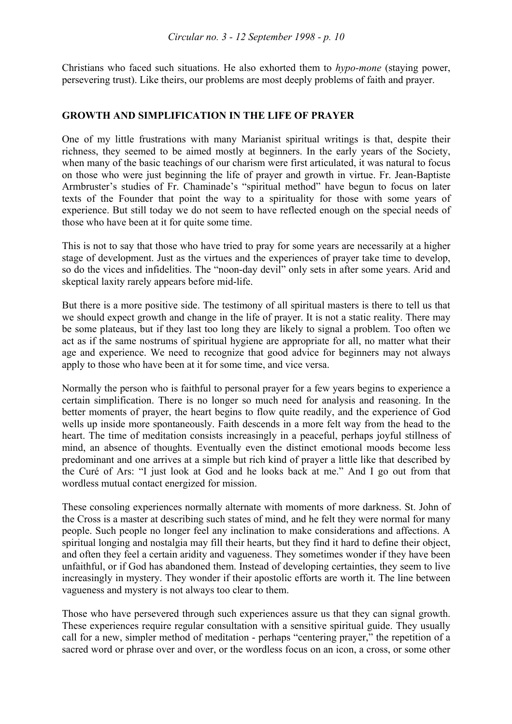Christians who faced such situations. He also exhorted them to *hypo-mone* (staying power, persevering trust). Like theirs, our problems are most deeply problems of faith and prayer.

#### **GROWTH AND SIMPLIFICATION IN THE LIFE OF PRAYER**

One of my little frustrations with many Marianist spiritual writings is that, despite their richness, they seemed to be aimed mostly at beginners. In the early years of the Society, when many of the basic teachings of our charism were first articulated, it was natural to focus on those who were just beginning the life of prayer and growth in virtue. Fr. Jean-Baptiste Armbruster's studies of Fr. Chaminade's "spiritual method" have begun to focus on later texts of the Founder that point the way to a spirituality for those with some years of experience. But still today we do not seem to have reflected enough on the special needs of those who have been at it for quite some time.

This is not to say that those who have tried to pray for some years are necessarily at a higher stage of development. Just as the virtues and the experiences of prayer take time to develop, so do the vices and infidelities. The "noon-day devil" only sets in after some years. Arid and skeptical laxity rarely appears before mid-life.

But there is a more positive side. The testimony of all spiritual masters is there to tell us that we should expect growth and change in the life of prayer. It is not a static reality. There may be some plateaus, but if they last too long they are likely to signal a problem. Too often we act as if the same nostrums of spiritual hygiene are appropriate for all, no matter what their age and experience. We need to recognize that good advice for beginners may not always apply to those who have been at it for some time, and vice versa.

Normally the person who is faithful to personal prayer for a few years begins to experience a certain simplification. There is no longer so much need for analysis and reasoning. In the better moments of prayer, the heart begins to flow quite readily, and the experience of God wells up inside more spontaneously. Faith descends in a more felt way from the head to the heart. The time of meditation consists increasingly in a peaceful, perhaps joyful stillness of mind, an absence of thoughts. Eventually even the distinct emotional moods become less predominant and one arrives at a simple but rich kind of prayer a little like that described by the Curé of Ars: "I just look at God and he looks back at me." And I go out from that wordless mutual contact energized for mission.

These consoling experiences normally alternate with moments of more darkness. St. John of the Cross is a master at describing such states of mind, and he felt they were normal for many people. Such people no longer feel any inclination to make considerations and affections. A spiritual longing and nostalgia may fill their hearts, but they find it hard to define their object, and often they feel a certain aridity and vagueness. They sometimes wonder if they have been unfaithful, or if God has abandoned them. Instead of developing certainties, they seem to live increasingly in mystery. They wonder if their apostolic efforts are worth it. The line between vagueness and mystery is not always too clear to them.

Those who have persevered through such experiences assure us that they can signal growth. These experiences require regular consultation with a sensitive spiritual guide. They usually call for a new, simpler method of meditation - perhaps "centering prayer," the repetition of a sacred word or phrase over and over, or the wordless focus on an icon, a cross, or some other